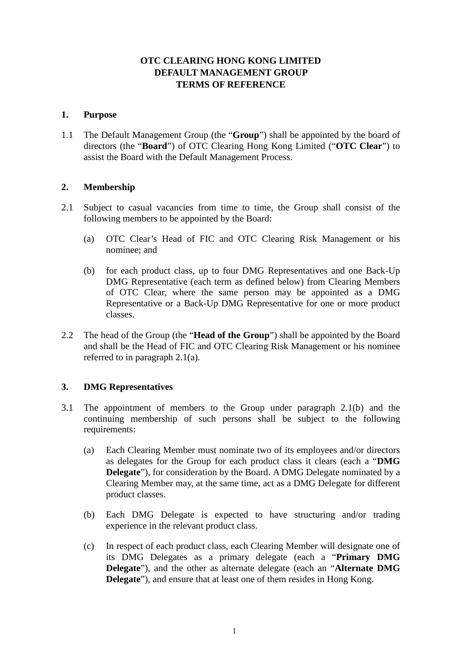# **OTC CLEARING HONG KONG LIMITED DEFAULT MANAGEMENT GROUP TERMS OF REFERENCE**

### **1. Purpose**

1.1 The Default Management Group (the "**Group**") shall be appointed by the board of directors (the "**Board**") of OTC Clearing Hong Kong Limited ("**OTC Clear**") to assist the Board with the Default Management Process.

## **2. Membership**

- 2.1 Subject to casual vacancies from time to time, the Group shall consist of the following members to be appointed by the Board:
	- (a) OTC Clear's Head of FIC and OTC Clearing Risk Management or his nominee; and
	- (b) for each product class, up to four DMG Representatives and one Back-Up DMG Representative (each term as defined below) from Clearing Members of OTC Clear, where the same person may be appointed as a DMG Representative or a Back-Up DMG Representative for one or more product classes.
- 2.2 The head of the Group (the "**Head of the Group**") shall be appointed by the Board and shall be the Head of FIC and OTC Clearing Risk Management or his nominee referred to in paragraph 2.1(a).

## **3. DMG Representatives**

- 3.1 The appointment of members to the Group under paragraph 2.1(b) and the continuing membership of such persons shall be subject to the following requirements:
	- (a) Each Clearing Member must nominate two of its employees and/or directors as delegates for the Group for each product class it clears (each a "**DMG Delegate**"), for consideration by the Board. A DMG Delegate nominated by a Clearing Member may, at the same time, act as a DMG Delegate for different product classes.
	- (b) Each DMG Delegate is expected to have structuring and/or trading experience in the relevant product class.
	- (c) In respect of each product class, each Clearing Member will designate one of its DMG Delegates as a primary delegate (each a "**Primary DMG Delegate**"), and the other as alternate delegate (each an "**Alternate DMG Delegate**"), and ensure that at least one of them resides in Hong Kong.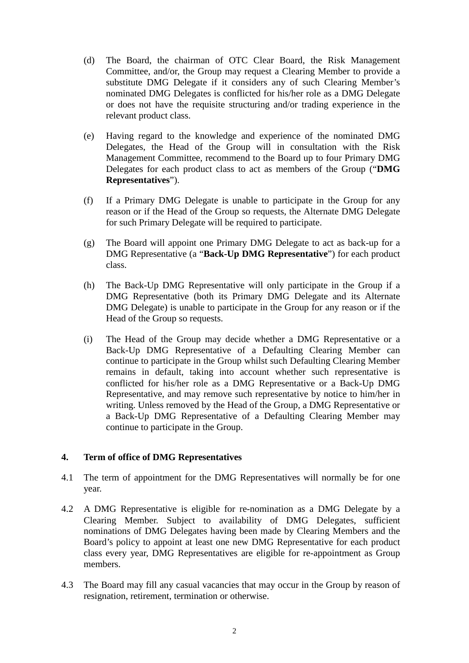- (d) The Board, the chairman of OTC Clear Board, the Risk Management Committee, and/or, the Group may request a Clearing Member to provide a substitute DMG Delegate if it considers any of such Clearing Member's nominated DMG Delegates is conflicted for his/her role as a DMG Delegate or does not have the requisite structuring and/or trading experience in the relevant product class.
- (e) Having regard to the knowledge and experience of the nominated DMG Delegates, the Head of the Group will in consultation with the Risk Management Committee, recommend to the Board up to four Primary DMG Delegates for each product class to act as members of the Group ("**DMG Representatives**").
- (f) If a Primary DMG Delegate is unable to participate in the Group for any reason or if the Head of the Group so requests, the Alternate DMG Delegate for such Primary Delegate will be required to participate.
- (g) The Board will appoint one Primary DMG Delegate to act as back-up for a DMG Representative (a "**Back-Up DMG Representative**") for each product class.
- (h) The Back-Up DMG Representative will only participate in the Group if a DMG Representative (both its Primary DMG Delegate and its Alternate DMG Delegate) is unable to participate in the Group for any reason or if the Head of the Group so requests.
- (i) The Head of the Group may decide whether a DMG Representative or a Back-Up DMG Representative of a Defaulting Clearing Member can continue to participate in the Group whilst such Defaulting Clearing Member remains in default, taking into account whether such representative is conflicted for his/her role as a DMG Representative or a Back-Up DMG Representative, and may remove such representative by notice to him/her in writing. Unless removed by the Head of the Group, a DMG Representative or a Back-Up DMG Representative of a Defaulting Clearing Member may continue to participate in the Group.

#### **4. Term of office of DMG Representatives**

- 4.1 The term of appointment for the DMG Representatives will normally be for one year.
- 4.2 A DMG Representative is eligible for re-nomination as a DMG Delegate by a Clearing Member. Subject to availability of DMG Delegates, sufficient nominations of DMG Delegates having been made by Clearing Members and the Board's policy to appoint at least one new DMG Representative for each product class every year, DMG Representatives are eligible for re-appointment as Group members.
- 4.3 The Board may fill any casual vacancies that may occur in the Group by reason of resignation, retirement, termination or otherwise.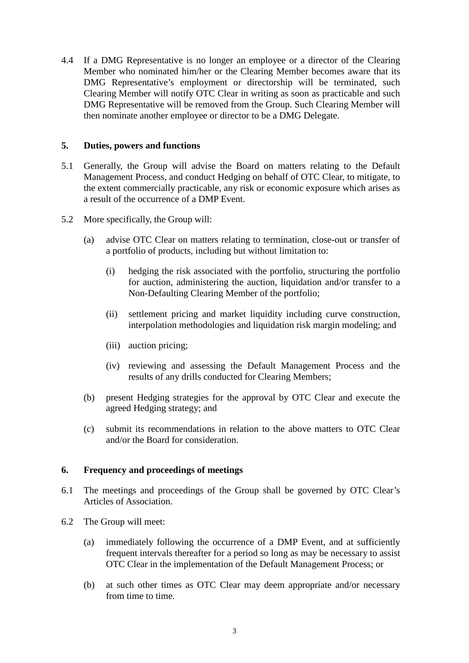4.4 If a DMG Representative is no longer an employee or a director of the Clearing Member who nominated him/her or the Clearing Member becomes aware that its DMG Representative's employment or directorship will be terminated, such Clearing Member will notify OTC Clear in writing as soon as practicable and such DMG Representative will be removed from the Group. Such Clearing Member will then nominate another employee or director to be a DMG Delegate.

#### **5. Duties, powers and functions**

- 5.1 Generally, the Group will advise the Board on matters relating to the Default Management Process, and conduct Hedging on behalf of OTC Clear, to mitigate, to the extent commercially practicable, any risk or economic exposure which arises as a result of the occurrence of a DMP Event.
- 5.2 More specifically, the Group will:
	- (a) advise OTC Clear on matters relating to termination, close-out or transfer of a portfolio of products, including but without limitation to:
		- (i) hedging the risk associated with the portfolio, structuring the portfolio for auction, administering the auction, liquidation and/or transfer to a Non-Defaulting Clearing Member of the portfolio;
		- (ii) settlement pricing and market liquidity including curve construction, interpolation methodologies and liquidation risk margin modeling; and
		- (iii) auction pricing;
		- (iv) reviewing and assessing the Default Management Process and the results of any drills conducted for Clearing Members;
	- (b) present Hedging strategies for the approval by OTC Clear and execute the agreed Hedging strategy; and
	- (c) submit its recommendations in relation to the above matters to OTC Clear and/or the Board for consideration.

#### **6. Frequency and proceedings of meetings**

- 6.1 The meetings and proceedings of the Group shall be governed by OTC Clear's Articles of Association.
- 6.2 The Group will meet:
	- (a) immediately following the occurrence of a DMP Event, and at sufficiently frequent intervals thereafter for a period so long as may be necessary to assist OTC Clear in the implementation of the Default Management Process; or
	- (b) at such other times as OTC Clear may deem appropriate and/or necessary from time to time.